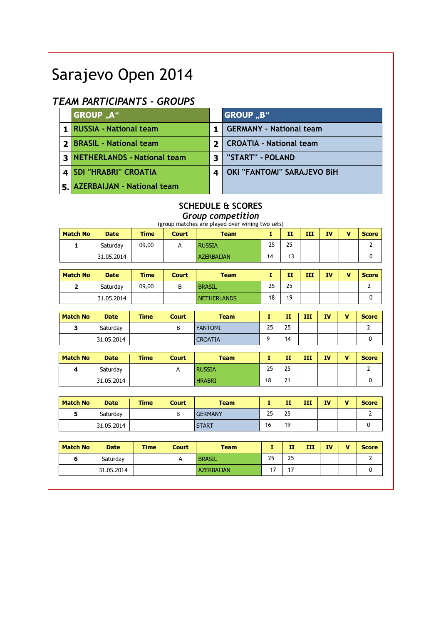# Sarajevo Open 2014

## TEAM PARTICIPANTS - GROUPS

| <b>GROUP "A"</b>              |   | <b>GROUP "B"</b>               |
|-------------------------------|---|--------------------------------|
| 1 RUSSIA - National team      |   | <b>GERMANY - National team</b> |
| 2 BRASIL - National team      | 2 | <b>CROATIA - National team</b> |
| 3 NETHERLANDS - National team | 3 | "START" - POLAND               |
| 4   SDI "HRABRI" CROATIA      | 4 | OKI "FANTOMI" SARAJEVO BiH     |
| 5. AZERBAIJAN - National team |   |                                |

## SCHEDULE & SCORES

Group competition

|                 |             |             |              | (group matches are played over wining two sets) |              |              |     |           |              |                |
|-----------------|-------------|-------------|--------------|-------------------------------------------------|--------------|--------------|-----|-----------|--------------|----------------|
| <b>Match No</b> | <b>Date</b> | <b>Time</b> | <b>Court</b> | <b>Team</b>                                     | $\mathbf{I}$ | $\mathbf{H}$ | III | <b>IV</b> | $\mathbf{V}$ | <b>Score</b>   |
| $\mathbf{1}$    | Saturday    | 09,00       | A            | <b>RUSSIA</b>                                   | 25           | 25           |     |           |              | $\overline{2}$ |
|                 | 31.05.2014  |             |              | <b>AZERBALIAN</b>                               | 14           | 13           |     |           |              | $\mathbf 0$    |
| <b>Match No</b> | <b>Date</b> | <b>Time</b> | <b>Court</b> | <b>Team</b>                                     | $\mathbf{I}$ | $\mathbf{H}$ | III | <b>IV</b> | $\mathbf{V}$ | <b>Score</b>   |
| $\overline{2}$  | Saturday    | 09,00       | B            | <b>BRASIL</b>                                   | 25           | 25           |     |           |              | $\overline{2}$ |
|                 | 31.05.2014  |             |              | <b>NETHERLANDS</b>                              | 18           | 19           |     |           |              | $\mathbf 0$    |
|                 |             |             |              |                                                 |              |              |     |           |              |                |
| <b>Match No</b> | <b>Date</b> | <b>Time</b> | <b>Court</b> | <b>Team</b>                                     | $\mathbf{I}$ | $\mathbf{H}$ | ш   | <b>IV</b> | $\mathbf{V}$ | <b>Score</b>   |
| 3               | Saturday    |             | B            | <b>FANTOMI</b>                                  | 25           | 25           |     |           |              | $\mathbf{2}$   |
|                 | 31.05.2014  |             |              | <b>CROATIA</b>                                  | 9            | 14           |     |           |              | $\mathbf 0$    |
|                 |             |             |              |                                                 |              |              |     |           |              |                |
| <b>Match No</b> | <b>Date</b> | <b>Time</b> | <b>Court</b> | <b>Team</b>                                     | $\mathbf{I}$ | $\mathbf{H}$ | III | <b>IV</b> | $\mathbf{V}$ | <b>Score</b>   |
| 4               | Saturday    |             | A            | <b>RUSSIA</b>                                   | 25           | 25           |     |           |              | $\overline{2}$ |
|                 | 31.05.2014  |             |              | <b>HRABRI</b>                                   | 18           | 21           |     |           |              | $\mathbf 0$    |
|                 |             |             |              |                                                 |              |              |     |           |              |                |
| <b>Match No</b> | <b>Date</b> | <b>Time</b> | <b>Court</b> | <b>Team</b>                                     | $\mathbf{I}$ | $\mathbf{H}$ | III | <b>IV</b> | $\mathbf{V}$ | <b>Score</b>   |
| 5               | Saturday    |             | B            | <b>GERMANY</b>                                  | 25           | 25           |     |           |              | $\overline{2}$ |
|                 |             |             |              |                                                 | 16           | 19           |     |           |              |                |
|                 | 31.05.2014  |             |              | <b>START</b>                                    |              |              |     |           |              | $\mathbf 0$    |
|                 |             |             |              |                                                 |              |              |     |           |              |                |
| <b>Match No</b> | <b>Date</b> | <b>Time</b> | <b>Court</b> | <b>Team</b>                                     | T.           | $\mathbf{H}$ | III | <b>IV</b> | $\mathbf{v}$ | <b>Score</b>   |
| 6               | Saturday    |             | Α            | <b>BRASIL</b>                                   | 25           | 25           |     |           |              | $\overline{2}$ |
|                 | 31.05.2014  |             |              | <b>AZERBAIJAN</b>                               | 17           | 17           |     |           |              | $\mathbf 0$    |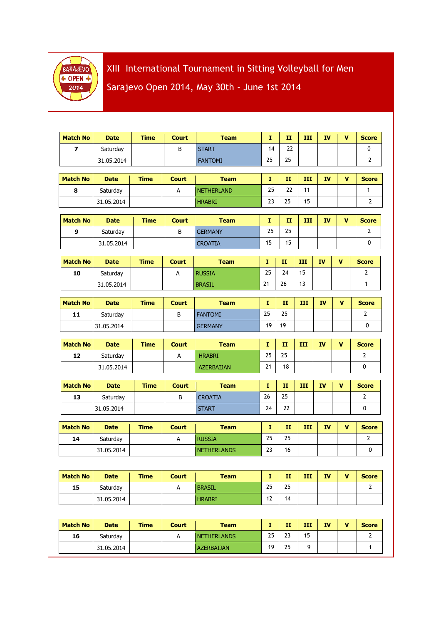

XIII International Tournament in Sitting Volleyball for Men Sarajevo Open 2014, May 30th - June 1st 2014

| <b>Match No</b>          | <b>Date</b> | <b>Time</b> | <b>Court</b> | <b>Team</b>        | Ι.           | п            | III | <b>IV</b> | V            | <b>Score</b>   |
|--------------------------|-------------|-------------|--------------|--------------------|--------------|--------------|-----|-----------|--------------|----------------|
| $\overline{\phantom{a}}$ | Saturday    |             | B            | <b>START</b>       | 14           | 22           |     |           |              | 0              |
|                          | 31.05.2014  |             |              | <b>FANTOMI</b>     | 25           | 25           |     |           |              | $\overline{2}$ |
| <b>Match No</b>          | <b>Date</b> | <b>Time</b> | <b>Court</b> | <b>Team</b>        | Ι.           | $\mathbf{I}$ | III | <b>IV</b> | V            | <b>Score</b>   |
| 8                        | Saturday    |             | A            | <b>NETHERLAND</b>  | 25           | 22           | 11  |           |              | $\mathbf{1}$   |
|                          | 31.05.2014  |             |              | <b>HRABRI</b>      | 23           | 25           | 15  |           |              | $\overline{2}$ |
|                          |             |             |              |                    |              |              |     |           |              |                |
| <b>Match No</b>          | <b>Date</b> | <b>Time</b> | <b>Court</b> | <b>Team</b>        | $\mathbf{I}$ | $\mathbf{H}$ | III | <b>IV</b> | $\mathbf{v}$ | <b>Score</b>   |
| $\boldsymbol{9}$         | Saturday    |             | B            | <b>GERMANY</b>     | 25           | 25           |     |           |              | $\mathbf{2}$   |
|                          | 31.05.2014  |             |              | <b>CROATIA</b>     | 15           | 15           |     |           |              | 0              |
| <b>Match No</b>          | <b>Date</b> | <b>Time</b> | <b>Court</b> | <b>Team</b>        | Ι.           | п            | ш   | <b>IV</b> | v            | <b>Score</b>   |
| 10                       | Saturday    |             | A            | <b>RUSSIA</b>      | 25           | 24           | 15  |           |              | $\overline{2}$ |
|                          | 31.05.2014  |             |              | <b>BRASIL</b>      | 21           | 26           | 13  |           |              | $\mathbf{1}$   |
|                          |             |             |              |                    |              |              |     |           |              |                |
| <b>Match No</b>          | <b>Date</b> | <b>Time</b> | <b>Court</b> | <b>Team</b>        | т.           | $\mathbf{H}$ | III | <b>IV</b> | V            | <b>Score</b>   |
| 11                       | Saturday    |             | B            | <b>FANTOMI</b>     | 25           | 25           |     |           |              | $\mathbf{2}$   |
|                          | 31.05.2014  |             |              | <b>GERMANY</b>     | 19           | 19           |     |           |              | 0              |
|                          |             |             |              |                    |              |              |     |           |              |                |
| <b>Match No</b>          | <b>Date</b> | <b>Time</b> | <b>Court</b> | <b>Team</b>        | Ι.           | $\mathbf{H}$ | III | <b>IV</b> | V            | <b>Score</b>   |
| 12                       | Saturday    |             | А            | <b>HRABRI</b>      | 25           | 25           |     |           |              | 2              |
|                          | 31.05.2014  |             |              | <b>AZERBAIJAN</b>  | 21           | 18           |     |           |              | 0              |
| <b>Match No</b>          | <b>Date</b> | <b>Time</b> | <b>Court</b> | <b>Team</b>        | т.           | $\mathbf{H}$ | III | <b>IV</b> | v            | <b>Score</b>   |
| 13                       | Saturday    |             | B            | <b>CROATIA</b>     | 26           | 25           |     |           |              | $\mathbf{2}$   |
|                          | 31.05.2014  |             |              | <b>START</b>       | 24           | 22           |     |           |              | 0              |
|                          |             |             |              |                    |              |              |     |           |              |                |
| <b>Match No</b>          | <b>Date</b> | <b>Time</b> | <b>Court</b> | <b>Team</b>        | т.           | II           | III | <b>IV</b> | V            | <b>Score</b>   |
| 14                       | Saturday    |             | А            | <b>RUSSIA</b>      | 25           | 25           |     |           |              | $\mathbf{2}$   |
|                          | 31.05.2014  |             |              | <b>NETHERLANDS</b> | 23           | 16           |     |           |              | 0              |
|                          |             |             |              |                    |              |              |     |           |              |                |
| <b>Match No</b>          | <b>Date</b> | <b>Time</b> | <b>Court</b> | <b>Team</b>        | $\mathbf I$  | $\mathbf{H}$ | III | IV        | $\mathbf v$  | <b>Score</b>   |
| 15                       | Saturday    |             | A            | <b>BRASIL</b>      | 25           | 25           |     |           |              | $\mathbf{2}$   |
|                          | 31.05.2014  |             |              | <b>HRABRI</b>      | 12           | 14           |     |           |              |                |
|                          |             |             |              |                    |              |              |     |           |              |                |
| <b>Match No</b>          | <b>Date</b> | <b>Time</b> | <b>Court</b> | <b>Team</b>        | Ι.           | $\mathbf{H}$ | III | <b>IV</b> | V            | <b>Score</b>   |
| 16                       | Saturday    |             | $\mathsf A$  | <b>NETHERLANDS</b> | 25           | 23           | 15  |           |              | $\mathbf{2}$   |
|                          | 31.05.2014  |             |              | <b>AZERBAIJAN</b>  | 19           | 25           | 9   |           |              | $\mathbf{1}$   |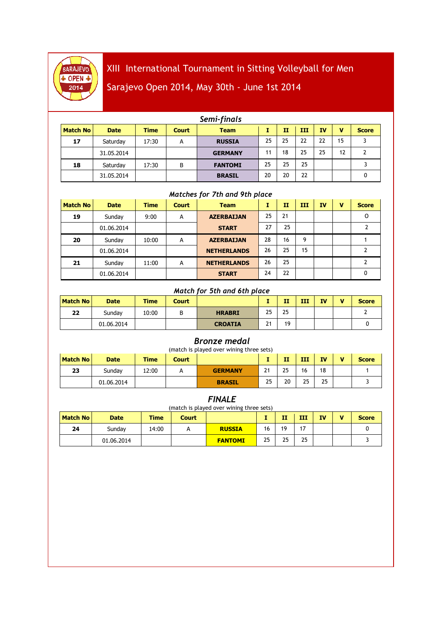

# XIII International Tournament in Sitting Volleyball for Men

# Sarajevo Open 2014, May 30th - June 1st 2014

|                 |             |             |              | Semi-finals    |    |    |     |           |    |              |
|-----------------|-------------|-------------|--------------|----------------|----|----|-----|-----------|----|--------------|
| <b>Match No</b> | <b>Date</b> | <b>Time</b> | <b>Court</b> | <b>Team</b>    |    | п  | III | <b>IV</b> | v  | <b>Score</b> |
| 17              | Saturday    | 17:30       | A            | <b>RUSSIA</b>  | 25 | 25 | 22  | 22        | 15 |              |
|                 | 31.05.2014  |             |              | <b>GERMANY</b> | 11 | 18 | 25  | 25        | 12 |              |
| 18              | Saturdav    | 17:30       | B            | <b>FANTOMI</b> | 25 | 25 | 25  |           |    |              |
|                 | 31.05.2014  |             |              | <b>BRASIL</b>  | 20 | 20 | 22  |           |    | 0            |

#### Matches for 7th and 9th place

| <b>Match No</b> | <b>Date</b> | <b>Time</b> | <b>Court</b> | <b>Team</b>        | I  | $\mathbf{H}$ | ш  | <b>IV</b> | v | <b>Score</b> |
|-----------------|-------------|-------------|--------------|--------------------|----|--------------|----|-----------|---|--------------|
| 19              | Sunday      | 9:00        | A            | <b>AZERBAIJAN</b>  | 25 | 21           |    |           |   | O            |
|                 | 01.06.2014  |             |              | <b>START</b>       | 27 | 25           |    |           |   |              |
| 20              | Sundav      | 10:00       | A            | <b>AZERBAIJAN</b>  | 28 | 16           | 9  |           |   |              |
|                 | 01.06.2014  |             |              | <b>NETHERLANDS</b> | 26 | 25           | 15 |           |   |              |
| 21              | Sundav      | 11:00       | A            | <b>NETHERLANDS</b> | 26 | 25           |    |           |   |              |
|                 | 01.06.2014  |             |              | <b>START</b>       | 24 | 22           |    |           |   | 0            |

#### Match for 5th and 6th place

| <b>Match No</b> | <b>Date</b> | <b>Time</b> | Court  |                |             | п  | ш | ΙV | $\blacksquare$ | <b>Score</b> |
|-----------------|-------------|-------------|--------|----------------|-------------|----|---|----|----------------|--------------|
| 22              | Sunday      | 10:00       | D<br>D | <b>HRABRI</b>  | 25          | 25 |   |    |                |              |
|                 | 01.06.2014  |             |        | <b>CROATIA</b> | $\sim$<br>▴ | 19 |   |    |                |              |

#### Bronze medal

| <b>Match No</b> | (match is played over wining three sets)<br>п<br>ш<br>Time<br>v<br>ΙV<br><b>Date</b><br><b>Score</b><br>Court |       |   |                |    |    |    |    |  |  |  |  |
|-----------------|---------------------------------------------------------------------------------------------------------------|-------|---|----------------|----|----|----|----|--|--|--|--|
| 23              | Sundav                                                                                                        | 12:00 | А | <b>GERMANY</b> | 21 | 25 | 16 | 18 |  |  |  |  |
|                 | 01.06.2014                                                                                                    |       |   | <b>BRASIL</b>  | 25 | 20 | 25 | 25 |  |  |  |  |

| <i>FINALE</i><br>(match is played over wining three sets) |             |       |              |                |    |    |    |           |   |              |  |
|-----------------------------------------------------------|-------------|-------|--------------|----------------|----|----|----|-----------|---|--------------|--|
| <b>Match No</b>                                           | <b>Date</b> | Time  | <b>Court</b> |                |    | п  | ш  | <b>IV</b> | v | <b>Score</b> |  |
| 24                                                        | Sundav      | 14:00 |              | <b>RUSSIA</b>  | 16 | 19 | 17 |           |   |              |  |
|                                                           | 01.06.2014  |       |              | <b>FANTOMI</b> | 25 | 25 | 25 |           |   |              |  |

### FINALE